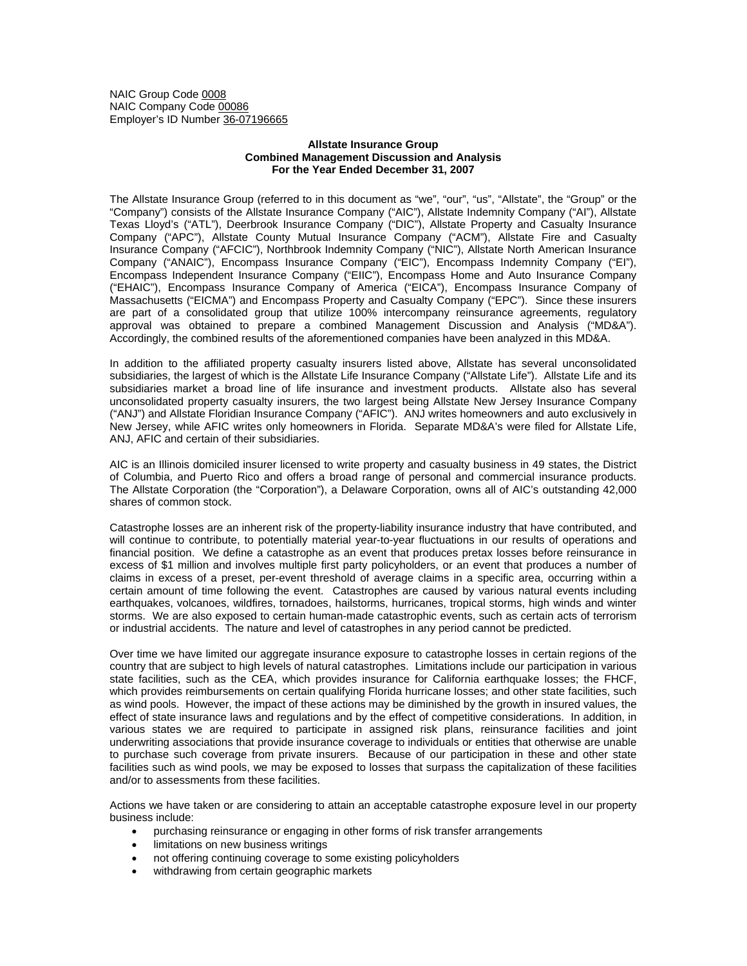NAIC Group Code 0008 NAIC Company Code 00086 Employer's ID Number 36-07196665

## **Allstate Insurance Group Combined Management Discussion and Analysis For the Year Ended December 31, 2007**

The Allstate Insurance Group (referred to in this document as "we", "our", "us", "Allstate", the "Group" or the "Company") consists of the Allstate Insurance Company ("AIC"), Allstate Indemnity Company ("AI"), Allstate Texas Lloyd's ("ATL"), Deerbrook Insurance Company ("DIC"), Allstate Property and Casualty Insurance Company ("APC"), Allstate County Mutual Insurance Company ("ACM"), Allstate Fire and Casualty Insurance Company ("AFCIC"), Northbrook Indemnity Company ("NIC"), Allstate North American Insurance Company ("ANAIC"), Encompass Insurance Company ("EIC"), Encompass Indemnity Company ("EI"), Encompass Independent Insurance Company ("EIIC"), Encompass Home and Auto Insurance Company ("EHAIC"), Encompass Insurance Company of America ("EICA"), Encompass Insurance Company of Massachusetts ("EICMA") and Encompass Property and Casualty Company ("EPC"). Since these insurers are part of a consolidated group that utilize 100% intercompany reinsurance agreements, regulatory approval was obtained to prepare a combined Management Discussion and Analysis ("MD&A"). Accordingly, the combined results of the aforementioned companies have been analyzed in this MD&A.

In addition to the affiliated property casualty insurers listed above, Allstate has several unconsolidated subsidiaries, the largest of which is the Allstate Life Insurance Company ("Allstate Life"). Allstate Life and its subsidiaries market a broad line of life insurance and investment products. Allstate also has several unconsolidated property casualty insurers, the two largest being Allstate New Jersey Insurance Company ("ANJ") and Allstate Floridian Insurance Company ("AFIC"). ANJ writes homeowners and auto exclusively in New Jersey, while AFIC writes only homeowners in Florida. Separate MD&A's were filed for Allstate Life, ANJ, AFIC and certain of their subsidiaries.

AIC is an Illinois domiciled insurer licensed to write property and casualty business in 49 states, the District of Columbia, and Puerto Rico and offers a broad range of personal and commercial insurance products. The Allstate Corporation (the "Corporation"), a Delaware Corporation, owns all of AIC's outstanding 42,000 shares of common stock.

Catastrophe losses are an inherent risk of the property-liability insurance industry that have contributed, and will continue to contribute, to potentially material year-to-year fluctuations in our results of operations and financial position. We define a catastrophe as an event that produces pretax losses before reinsurance in excess of \$1 million and involves multiple first party policyholders, or an event that produces a number of claims in excess of a preset, per-event threshold of average claims in a specific area, occurring within a certain amount of time following the event. Catastrophes are caused by various natural events including earthquakes, volcanoes, wildfires, tornadoes, hailstorms, hurricanes, tropical storms, high winds and winter storms. We are also exposed to certain human-made catastrophic events, such as certain acts of terrorism or industrial accidents. The nature and level of catastrophes in any period cannot be predicted.

Over time we have limited our aggregate insurance exposure to catastrophe losses in certain regions of the country that are subject to high levels of natural catastrophes. Limitations include our participation in various state facilities, such as the CEA, which provides insurance for California earthquake losses; the FHCF, which provides reimbursements on certain qualifying Florida hurricane losses; and other state facilities, such as wind pools. However, the impact of these actions may be diminished by the growth in insured values, the effect of state insurance laws and regulations and by the effect of competitive considerations. In addition, in various states we are required to participate in assigned risk plans, reinsurance facilities and joint underwriting associations that provide insurance coverage to individuals or entities that otherwise are unable to purchase such coverage from private insurers. Because of our participation in these and other state facilities such as wind pools, we may be exposed to losses that surpass the capitalization of these facilities and/or to assessments from these facilities.

Actions we have taken or are considering to attain an acceptable catastrophe exposure level in our property business include:

- purchasing reinsurance or engaging in other forms of risk transfer arrangements
- limitations on new business writings
- not offering continuing coverage to some existing policyholders
- withdrawing from certain geographic markets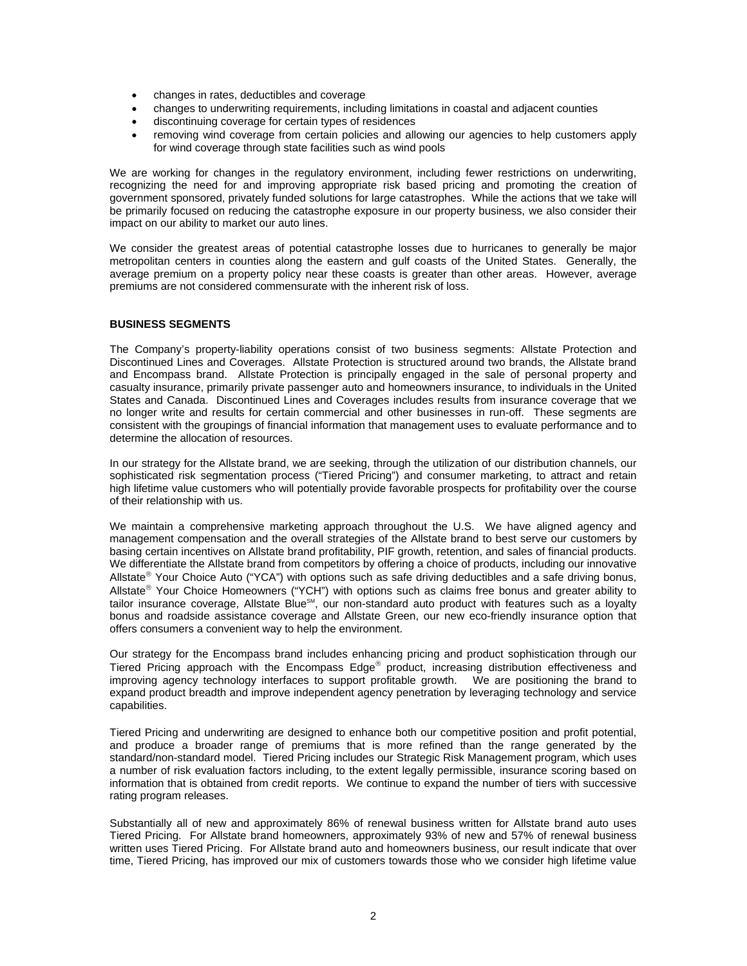- changes in rates, deductibles and coverage
- changes to underwriting requirements, including limitations in coastal and adjacent counties
- discontinuing coverage for certain types of residences
- removing wind coverage from certain policies and allowing our agencies to help customers apply for wind coverage through state facilities such as wind pools

We are working for changes in the regulatory environment, including fewer restrictions on underwriting, recognizing the need for and improving appropriate risk based pricing and promoting the creation of government sponsored, privately funded solutions for large catastrophes. While the actions that we take will be primarily focused on reducing the catastrophe exposure in our property business, we also consider their impact on our ability to market our auto lines.

We consider the greatest areas of potential catastrophe losses due to hurricanes to generally be major metropolitan centers in counties along the eastern and gulf coasts of the United States. Generally, the average premium on a property policy near these coasts is greater than other areas. However, average premiums are not considered commensurate with the inherent risk of loss.

### **BUSINESS SEGMENTS**

The Company's property-liability operations consist of two business segments: Allstate Protection and Discontinued Lines and Coverages. Allstate Protection is structured around two brands, the Allstate brand and Encompass brand. Allstate Protection is principally engaged in the sale of personal property and casualty insurance, primarily private passenger auto and homeowners insurance, to individuals in the United States and Canada. Discontinued Lines and Coverages includes results from insurance coverage that we no longer write and results for certain commercial and other businesses in run-off. These segments are consistent with the groupings of financial information that management uses to evaluate performance and to determine the allocation of resources.

In our strategy for the Allstate brand, we are seeking, through the utilization of our distribution channels, our sophisticated risk segmentation process ("Tiered Pricing") and consumer marketing, to attract and retain high lifetime value customers who will potentially provide favorable prospects for profitability over the course of their relationship with us.

We maintain a comprehensive marketing approach throughout the U.S. We have aligned agency and management compensation and the overall strategies of the Allstate brand to best serve our customers by basing certain incentives on Allstate brand profitability, PIF growth, retention, and sales of financial products. We differentiate the Allstate brand from competitors by offering a choice of products, including our innovative Allstate<sup>®</sup> Your Choice Auto ("YCA") with options such as safe driving deductibles and a safe driving bonus, Allstate<sup>®</sup> Your Choice Homeowners ("YCH") with options such as claims free bonus and greater ability to tailor insurance coverage, Allstate Blue<sup>sm</sup>, our non-standard auto product with features such as a loyalty bonus and roadside assistance coverage and Allstate Green, our new eco-friendly insurance option that offers consumers a convenient way to help the environment.

Our strategy for the Encompass brand includes enhancing pricing and product sophistication through our Tiered Pricing approach with the Encompass Edge® product, increasing distribution effectiveness and improving agency technology interfaces to support profitable growth. We are positioning the brand to expand product breadth and improve independent agency penetration by leveraging technology and service capabilities.

Tiered Pricing and underwriting are designed to enhance both our competitive position and profit potential, and produce a broader range of premiums that is more refined than the range generated by the standard/non-standard model. Tiered Pricing includes our Strategic Risk Management program, which uses a number of risk evaluation factors including, to the extent legally permissible, insurance scoring based on information that is obtained from credit reports. We continue to expand the number of tiers with successive rating program releases.

Substantially all of new and approximately 86% of renewal business written for Allstate brand auto uses Tiered Pricing. For Allstate brand homeowners, approximately 93% of new and 57% of renewal business written uses Tiered Pricing. For Allstate brand auto and homeowners business, our result indicate that over time, Tiered Pricing, has improved our mix of customers towards those who we consider high lifetime value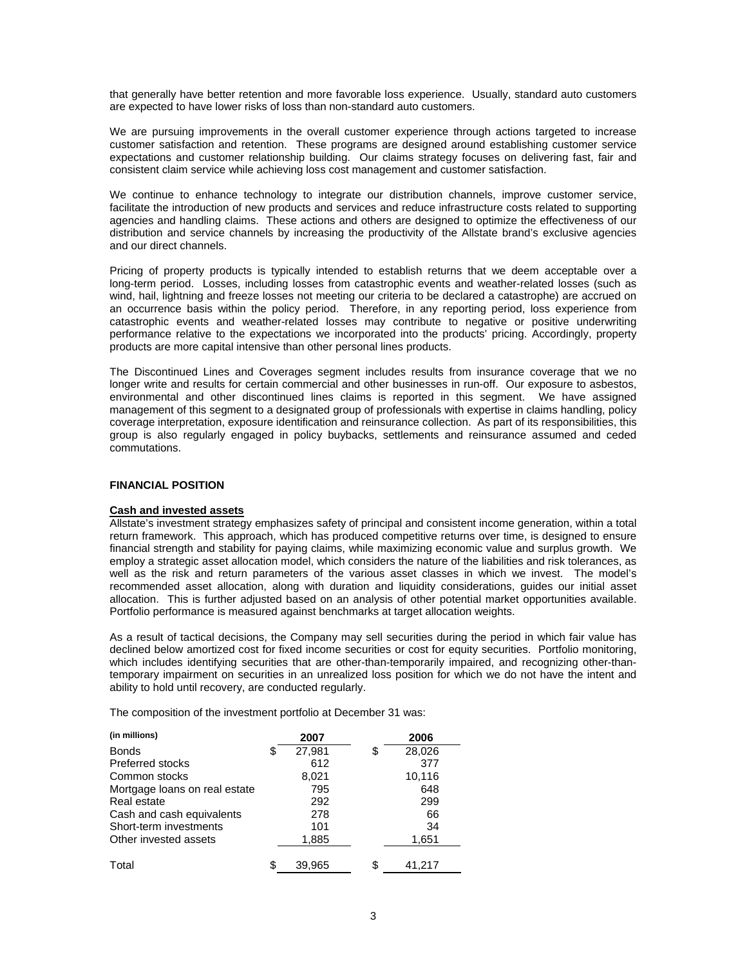that generally have better retention and more favorable loss experience. Usually, standard auto customers are expected to have lower risks of loss than non-standard auto customers.

We are pursuing improvements in the overall customer experience through actions targeted to increase customer satisfaction and retention. These programs are designed around establishing customer service expectations and customer relationship building. Our claims strategy focuses on delivering fast, fair and consistent claim service while achieving loss cost management and customer satisfaction.

We continue to enhance technology to integrate our distribution channels, improve customer service, facilitate the introduction of new products and services and reduce infrastructure costs related to supporting agencies and handling claims. These actions and others are designed to optimize the effectiveness of our distribution and service channels by increasing the productivity of the Allstate brand's exclusive agencies and our direct channels.

Pricing of property products is typically intended to establish returns that we deem acceptable over a long-term period. Losses, including losses from catastrophic events and weather-related losses (such as wind, hail, lightning and freeze losses not meeting our criteria to be declared a catastrophe) are accrued on an occurrence basis within the policy period. Therefore, in any reporting period, loss experience from catastrophic events and weather-related losses may contribute to negative or positive underwriting performance relative to the expectations we incorporated into the products' pricing. Accordingly, property products are more capital intensive than other personal lines products.

The Discontinued Lines and Coverages segment includes results from insurance coverage that we no longer write and results for certain commercial and other businesses in run-off. Our exposure to asbestos, environmental and other discontinued lines claims is reported in this segment. We have assigned management of this segment to a designated group of professionals with expertise in claims handling, policy coverage interpretation, exposure identification and reinsurance collection. As part of its responsibilities, this group is also regularly engaged in policy buybacks, settlements and reinsurance assumed and ceded commutations.

# **FINANCIAL POSITION**

# **Cash and invested assets**

Allstate's investment strategy emphasizes safety of principal and consistent income generation, within a total return framework. This approach, which has produced competitive returns over time, is designed to ensure financial strength and stability for paying claims, while maximizing economic value and surplus growth. We employ a strategic asset allocation model, which considers the nature of the liabilities and risk tolerances, as well as the risk and return parameters of the various asset classes in which we invest. The model's recommended asset allocation, along with duration and liquidity considerations, guides our initial asset allocation. This is further adjusted based on an analysis of other potential market opportunities available. Portfolio performance is measured against benchmarks at target allocation weights.

As a result of tactical decisions, the Company may sell securities during the period in which fair value has declined below amortized cost for fixed income securities or cost for equity securities.Portfolio monitoring, which includes identifying securities that are other-than-temporarily impaired, and recognizing other-thantemporary impairment on securities in an unrealized loss position for which we do not have the intent and ability to hold until recovery, are conducted regularly.

The composition of the investment portfolio at December 31 was:

| (in millions)                 |   | 2007   |    | 2006   |  |
|-------------------------------|---|--------|----|--------|--|
| <b>Bonds</b>                  | S | 27,981 | S  | 28,026 |  |
| <b>Preferred stocks</b>       |   | 612    |    | 377    |  |
| Common stocks                 |   | 8,021  |    | 10,116 |  |
| Mortgage loans on real estate |   | 795    |    | 648    |  |
| Real estate                   |   | 292    |    | 299    |  |
| Cash and cash equivalents     |   | 278    |    | 66     |  |
| Short-term investments        |   | 101    |    | 34     |  |
| Other invested assets         |   | 1,885  |    | 1,651  |  |
|                               |   |        |    |        |  |
| Total                         |   | 39,965 | \$ | 41,217 |  |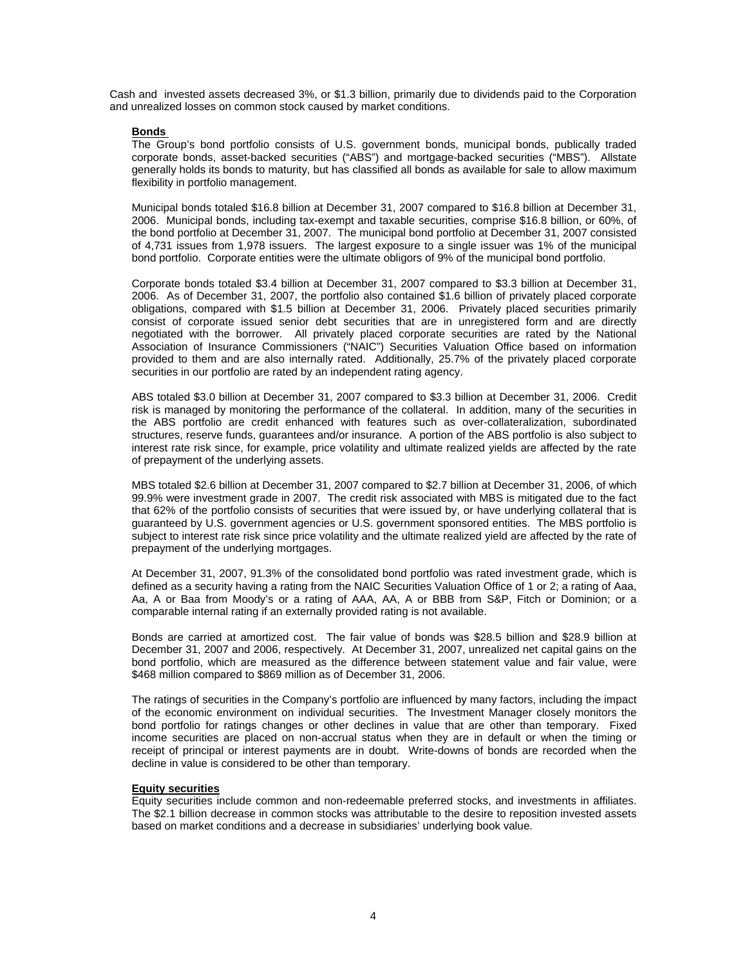Cash and invested assets decreased 3%, or \$1.3 billion, primarily due to dividends paid to the Corporation and unrealized losses on common stock caused by market conditions.

## **Bonds**

The Group's bond portfolio consists of U.S. government bonds, municipal bonds, publically traded corporate bonds, asset-backed securities ("ABS") and mortgage-backed securities ("MBS"). Allstate generally holds its bonds to maturity, but has classified all bonds as available for sale to allow maximum flexibility in portfolio management.

Municipal bonds totaled \$16.8 billion at December 31, 2007 compared to \$16.8 billion at December 31, 2006. Municipal bonds, including tax-exempt and taxable securities, comprise \$16.8 billion, or 60%, of the bond portfolio at December 31, 2007. The municipal bond portfolio at December 31, 2007 consisted of 4,731 issues from 1,978 issuers. The largest exposure to a single issuer was 1% of the municipal bond portfolio. Corporate entities were the ultimate obligors of 9% of the municipal bond portfolio.

Corporate bonds totaled \$3.4 billion at December 31, 2007 compared to \$3.3 billion at December 31, 2006. As of December 31, 2007, the portfolio also contained \$1.6 billion of privately placed corporate obligations, compared with \$1.5 billion at December 31, 2006. Privately placed securities primarily consist of corporate issued senior debt securities that are in unregistered form and are directly negotiated with the borrower. All privately placed corporate securities are rated by the National Association of Insurance Commissioners ("NAIC") Securities Valuation Office based on information provided to them and are also internally rated. Additionally, 25.7% of the privately placed corporate securities in our portfolio are rated by an independent rating agency.

ABS totaled \$3.0 billion at December 31, 2007 compared to \$3.3 billion at December 31, 2006. Credit risk is managed by monitoring the performance of the collateral. In addition, many of the securities in the ABS portfolio are credit enhanced with features such as over-collateralization, subordinated structures, reserve funds, guarantees and/or insurance. A portion of the ABS portfolio is also subject to interest rate risk since, for example, price volatility and ultimate realized yields are affected by the rate of prepayment of the underlying assets.

MBS totaled \$2.6 billion at December 31, 2007 compared to \$2.7 billion at December 31, 2006, of which 99.9% were investment grade in 2007. The credit risk associated with MBS is mitigated due to the fact that 62% of the portfolio consists of securities that were issued by, or have underlying collateral that is guaranteed by U.S. government agencies or U.S. government sponsored entities. The MBS portfolio is subject to interest rate risk since price volatility and the ultimate realized yield are affected by the rate of prepayment of the underlying mortgages.

At December 31, 2007, 91.3% of the consolidated bond portfolio was rated investment grade, which is defined as a security having a rating from the NAIC Securities Valuation Office of 1 or 2; a rating of Aaa, Aa, A or Baa from Moody's or a rating of AAA, AA, A or BBB from S&P, Fitch or Dominion; or a comparable internal rating if an externally provided rating is not available.

Bonds are carried at amortized cost. The fair value of bonds was \$28.5 billion and \$28.9 billion at December 31, 2007 and 2006, respectively. At December 31, 2007, unrealized net capital gains on the bond portfolio, which are measured as the difference between statement value and fair value, were \$468 million compared to \$869 million as of December 31, 2006.

The ratings of securities in the Company's portfolio are influenced by many factors, including the impact of the economic environment on individual securities. The Investment Manager closely monitors the bond portfolio for ratings changes or other declines in value that are other than temporary. Fixed income securities are placed on non-accrual status when they are in default or when the timing or receipt of principal or interest payments are in doubt. Write-downs of bonds are recorded when the decline in value is considered to be other than temporary.

### **Equity securities**

Equity securities include common and non-redeemable preferred stocks, and investments in affiliates. The \$2.1 billion decrease in common stocks was attributable to the desire to reposition invested assets based on market conditions and a decrease in subsidiaries' underlying book value.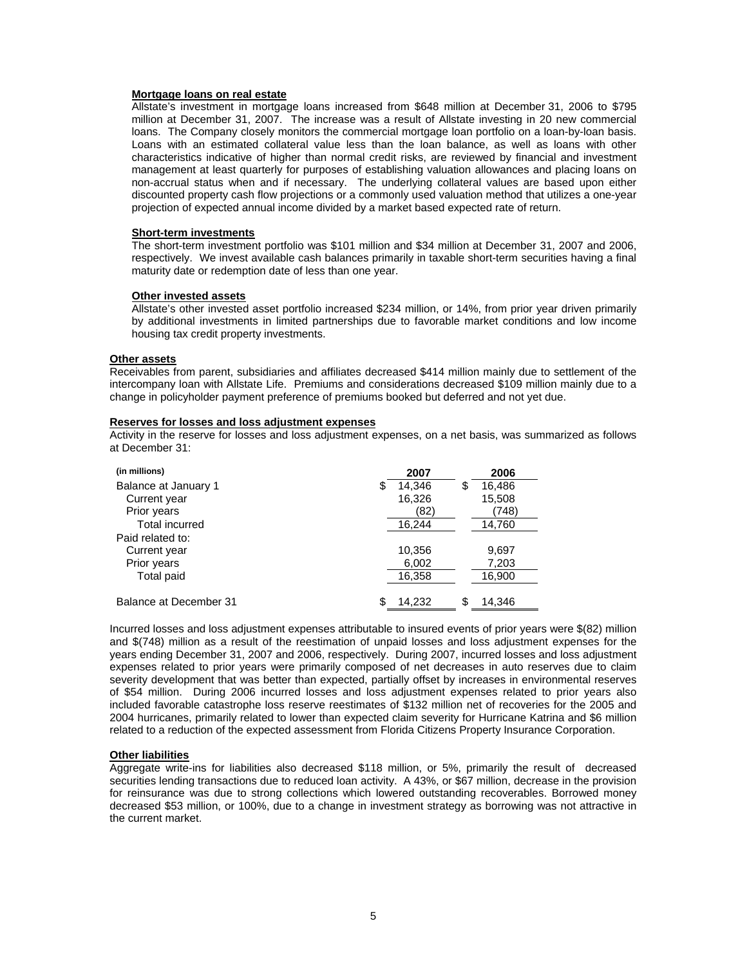### **Mortgage loans on real estate**

Allstate's investment in mortgage loans increased from \$648 million at December 31, 2006 to \$795 million at December 31, 2007. The increase was a result of Allstate investing in 20 new commercial loans. The Company closely monitors the commercial mortgage loan portfolio on a loan-by-loan basis. Loans with an estimated collateral value less than the loan balance, as well as loans with other characteristics indicative of higher than normal credit risks, are reviewed by financial and investment management at least quarterly for purposes of establishing valuation allowances and placing loans on non-accrual status when and if necessary. The underlying collateral values are based upon either discounted property cash flow projections or a commonly used valuation method that utilizes a one-year projection of expected annual income divided by a market based expected rate of return.

# **Short-term investments**

The short-term investment portfolio was \$101 million and \$34 million at December 31, 2007 and 2006, respectively. We invest available cash balances primarily in taxable short-term securities having a final maturity date or redemption date of less than one year.

# **Other invested assets**

Allstate's other invested asset portfolio increased \$234 million, or 14%, from prior year driven primarily by additional investments in limited partnerships due to favorable market conditions and low income housing tax credit property investments.

### **Other assets**

Receivables from parent, subsidiaries and affiliates decreased \$414 million mainly due to settlement of the intercompany loan with Allstate Life. Premiums and considerations decreased \$109 million mainly due to a change in policyholder payment preference of premiums booked but deferred and not yet due.

# **Reserves for losses and loss adjustment expenses**

Activity in the reserve for losses and loss adjustment expenses, on a net basis, was summarized as follows at December 31:

| (in millions)          |   | 2007   |   | 2006   |
|------------------------|---|--------|---|--------|
| Balance at January 1   | S | 14,346 | Ъ | 16,486 |
| Current year           |   | 16,326 |   | 15,508 |
| Prior years            |   | (82)   |   | (748)  |
| Total incurred         |   | 16,244 |   | 14,760 |
| Paid related to:       |   |        |   |        |
| Current year           |   | 10,356 |   | 9,697  |
| Prior years            |   | 6,002  |   | 7,203  |
| <b>Total paid</b>      |   | 16,358 |   | 16,900 |
| Balance at December 31 |   | 14.232 |   | 14.346 |

Incurred losses and loss adjustment expenses attributable to insured events of prior years were \$(82) million and \$(748) million as a result of the reestimation of unpaid losses and loss adjustment expenses for the years ending December 31, 2007 and 2006, respectively. During 2007, incurred losses and loss adjustment expenses related to prior years were primarily composed of net decreases in auto reserves due to claim severity development that was better than expected, partially offset by increases in environmental reserves of \$54 million. During 2006 incurred losses and loss adjustment expenses related to prior years also included favorable catastrophe loss reserve reestimates of \$132 million net of recoveries for the 2005 and 2004 hurricanes, primarily related to lower than expected claim severity for Hurricane Katrina and \$6 million related to a reduction of the expected assessment from Florida Citizens Property Insurance Corporation.

# **Other liabilities**

Aggregate write-ins for liabilities also decreased \$118 million, or 5%, primarily the result of decreased securities lending transactions due to reduced loan activity. A 43%, or \$67 million, decrease in the provision for reinsurance was due to strong collections which lowered outstanding recoverables. Borrowed money decreased \$53 million, or 100%, due to a change in investment strategy as borrowing was not attractive in the current market.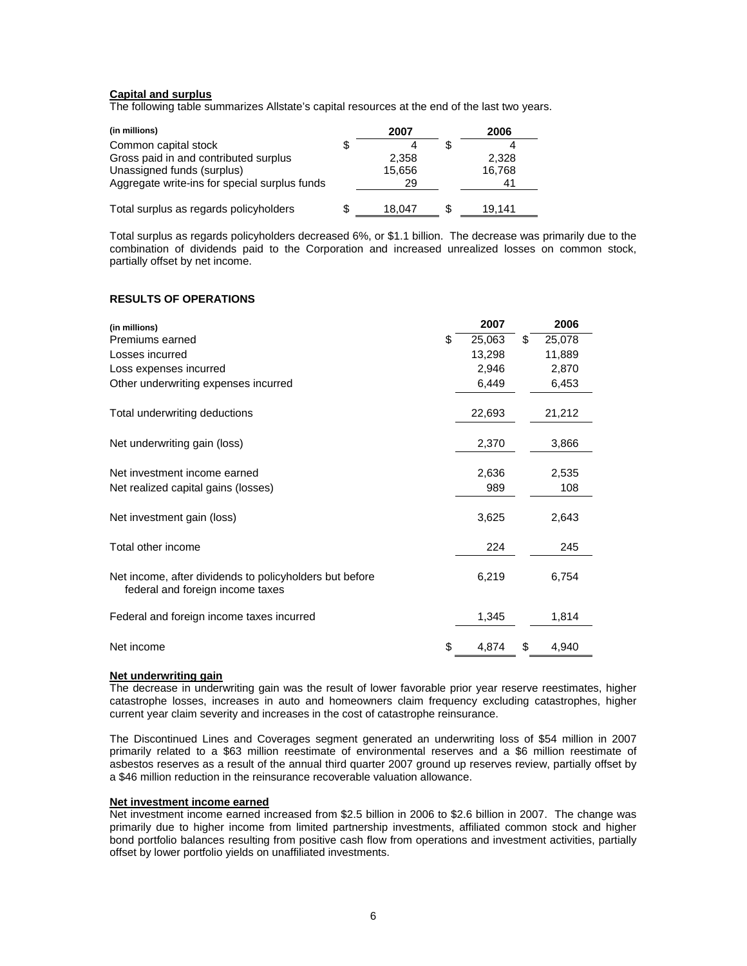# **Capital and surplus**

The following table summarizes Allstate's capital resources at the end of the last two years.

| (in millions)                                 | 2007   | 2006   |
|-----------------------------------------------|--------|--------|
| Common capital stock                          | Δ      |        |
| Gross paid in and contributed surplus         | 2.358  | 2.328  |
| Unassigned funds (surplus)                    | 15,656 | 16,768 |
| Aggregate write-ins for special surplus funds | 29     |        |
| Total surplus as regards policyholders        | 18.047 | 19.141 |

Total surplus as regards policyholders decreased 6%, or \$1.1 billion. The decrease was primarily due to the combination of dividends paid to the Corporation and increased unrealized losses on common stock, partially offset by net income.

# **RESULTS OF OPERATIONS**

| (in millions)                                                                               | 2007         | 2006         |
|---------------------------------------------------------------------------------------------|--------------|--------------|
| Premiums earned                                                                             | \$<br>25,063 | \$<br>25,078 |
| Losses incurred                                                                             | 13,298       | 11,889       |
| Loss expenses incurred                                                                      | 2,946        | 2,870        |
| Other underwriting expenses incurred                                                        | 6,449        | 6,453        |
| Total underwriting deductions                                                               | 22,693       | 21,212       |
| Net underwriting gain (loss)                                                                | 2,370        | 3,866        |
| Net investment income earned                                                                | 2,636        | 2,535        |
| Net realized capital gains (losses)                                                         | 989          | 108          |
| Net investment gain (loss)                                                                  | 3,625        | 2,643        |
| Total other income                                                                          | 224          | 245          |
| Net income, after dividends to policyholders but before<br>federal and foreign income taxes | 6,219        | 6,754        |
| Federal and foreign income taxes incurred                                                   | 1,345        | 1,814        |
| Net income                                                                                  | \$<br>4,874  | \$<br>4,940  |

### **Net underwriting gain**

The decrease in underwriting gain was the result of lower favorable prior year reserve reestimates, higher catastrophe losses, increases in auto and homeowners claim frequency excluding catastrophes, higher current year claim severity and increases in the cost of catastrophe reinsurance.

The Discontinued Lines and Coverages segment generated an underwriting loss of \$54 million in 2007 primarily related to a \$63 million reestimate of environmental reserves and a \$6 million reestimate of asbestos reserves as a result of the annual third quarter 2007 ground up reserves review, partially offset by a \$46 million reduction in the reinsurance recoverable valuation allowance.

## **Net investment income earned**

Net investment income earned increased from \$2.5 billion in 2006 to \$2.6 billion in 2007. The change was primarily due to higher income from limited partnership investments, affiliated common stock and higher bond portfolio balances resulting from positive cash flow from operations and investment activities, partially offset by lower portfolio yields on unaffiliated investments.